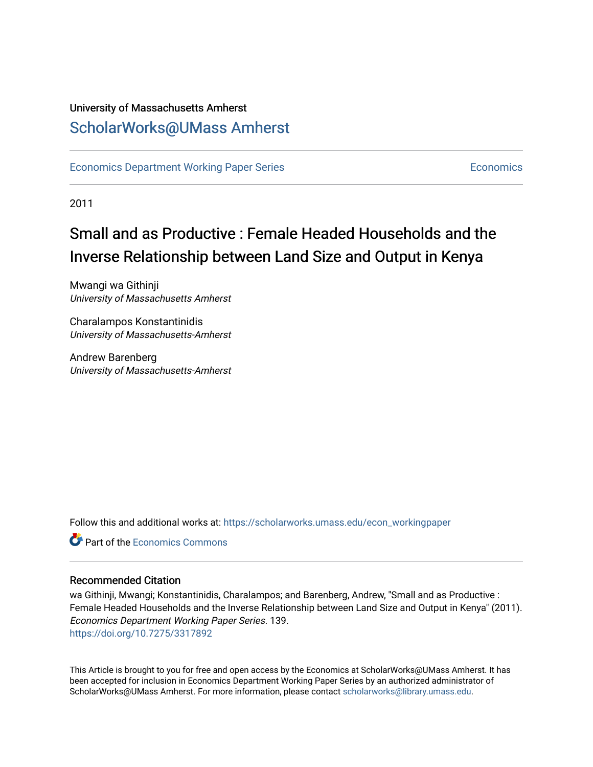## University of Massachusetts Amherst [ScholarWorks@UMass Amherst](https://scholarworks.umass.edu/)

[Economics Department Working Paper Series](https://scholarworks.umass.edu/econ_workingpaper) **Economics** [Economics](https://scholarworks.umass.edu/economics) Economics

2011

## Small and as Productive : Female Headed Households and the Inverse Relationship between Land Size and Output in Kenya

Mwangi wa Githinji University of Massachusetts Amherst

Charalampos Konstantinidis University of Massachusetts-Amherst

Andrew Barenberg University of Massachusetts-Amherst

Follow this and additional works at: [https://scholarworks.umass.edu/econ\\_workingpaper](https://scholarworks.umass.edu/econ_workingpaper?utm_source=scholarworks.umass.edu%2Fecon_workingpaper%2F139&utm_medium=PDF&utm_campaign=PDFCoverPages) 

**C** Part of the [Economics Commons](http://network.bepress.com/hgg/discipline/340?utm_source=scholarworks.umass.edu%2Fecon_workingpaper%2F139&utm_medium=PDF&utm_campaign=PDFCoverPages)

#### Recommended Citation

wa Githinji, Mwangi; Konstantinidis, Charalampos; and Barenberg, Andrew, "Small and as Productive : Female Headed Households and the Inverse Relationship between Land Size and Output in Kenya" (2011). Economics Department Working Paper Series. 139. <https://doi.org/10.7275/3317892>

This Article is brought to you for free and open access by the Economics at ScholarWorks@UMass Amherst. It has been accepted for inclusion in Economics Department Working Paper Series by an authorized administrator of ScholarWorks@UMass Amherst. For more information, please contact [scholarworks@library.umass.edu.](mailto:scholarworks@library.umass.edu)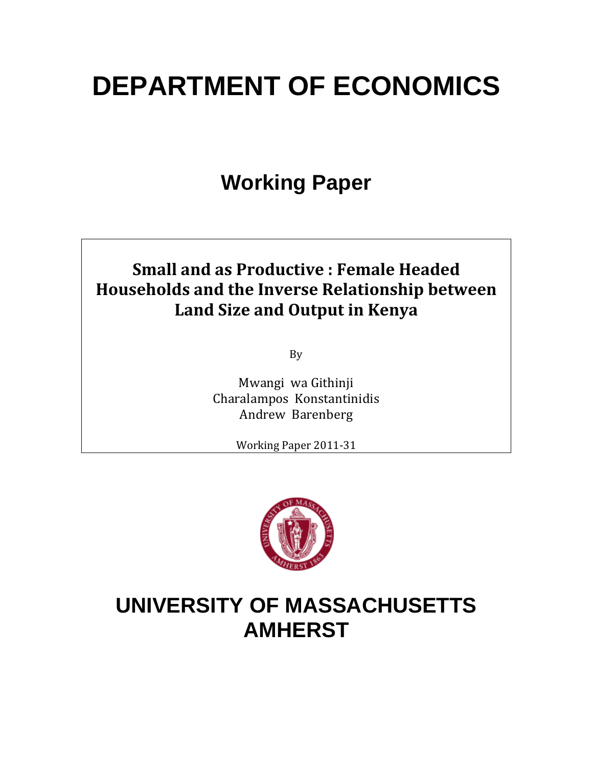# **DEPARTMENT OF ECONOMICS**

# **Working Paper**

## **Small and as Productive : Female Headed Households and the Inverse Relationship between Land Size and Output in Kenya**

By

Mwangi wa Githinji Charalampos Konstantinidis Andrew Barenberg

Working Paper 2011‐31



## **UNIVERSITY OF MASSACHUSETTS AMHERST**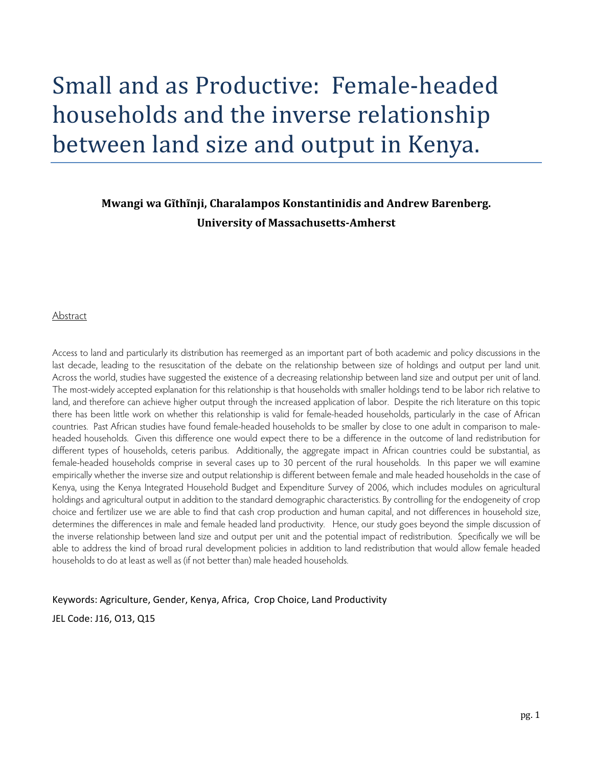# Small and as Productive: Female‐headed households and the inverse relationship between land size and output in Kenya.

#### **Mwangi wa Gĩthĩnji, Charalampos Konstantinidis and Andrew Barenberg. University of MassachusettsAmherst**

#### Abstract

Access to land and particularly its distribution has reemerged as an important part of both academic and policy discussions in the last decade, leading to the resuscitation of the debate on the relationship between size of holdings and output per land unit. Across the world, studies have suggested the existence of a decreasing relationship between land size and output per unit of land. The most-widely accepted explanation for this relationship is that households with smaller holdings tend to be labor rich relative to land, and therefore can achieve higher output through the increased application of labor. Despite the rich literature on this topic there has been little work on whether this relationship is valid for female-headed households, particularly in the case of African countries. Past African studies have found female-headed households to be smaller by close to one adult in comparison to maleheaded households. Given this difference one would expect there to be a difference in the outcome of land redistribution for different types of households, ceteris paribus. Additionally, the aggregate impact in African countries could be substantial, as female-headed households comprise in several cases up to 30 percent of the rural households. In this paper we will examine empirically whether the inverse size and output relationship is different between female and male headed households in the case of Kenya, using the Kenya Integrated Household Budget and Expenditure Survey of 2006, which includes modules on agricultural holdings and agricultural output in addition to the standard demographic characteristics. By controlling for the endogeneity of crop choice and fertilizer use we are able to find that cash crop production and human capital, and not differences in household size, determines the differences in male and female headed land productivity. Hence, our study goes beyond the simple discussion of the inverse relationship between land size and output per unit and the potential impact of redistribution. Specifically we will be able to address the kind of broad rural development policies in addition to land redistribution that would allow female headed households to do at least as well as (if not better than) male headed households.

Keywords: Agriculture, Gender, Kenya, Africa, Crop Choice, Land Productivity

JEL Code: J16, O13, Q15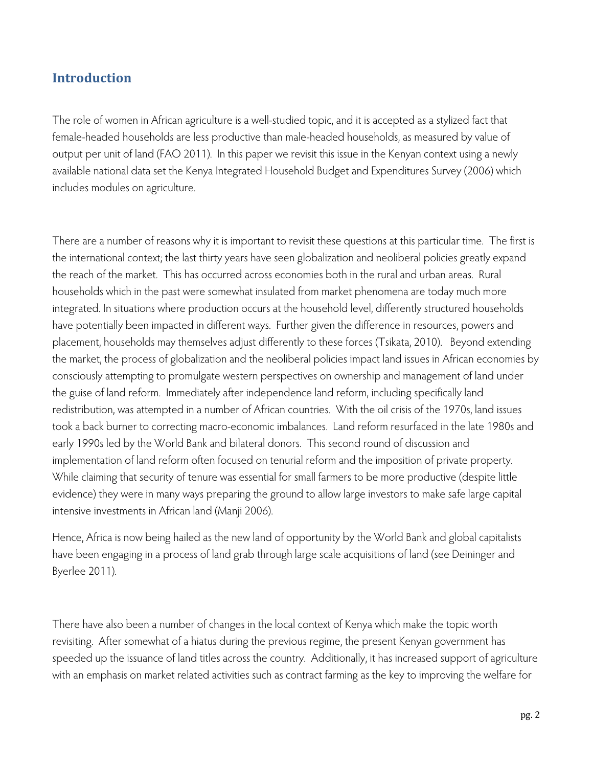### **Introduction**

The role of women in African agriculture is a well-studied topic, and it is accepted as a stylized fact that female-headed households are less productive than male-headed households, as measured by value of output per unit of land (FAO 2011). In this paper we revisit this issue in the Kenyan context using a newly available national data set the Kenya Integrated Household Budget and Expenditures Survey (2006) which includes modules on agriculture.

There are a number of reasons why it is important to revisit these questions at this particular time. The first is the international context; the last thirty years have seen globalization and neoliberal policies greatly expand the reach of the market. This has occurred across economies both in the rural and urban areas. Rural households which in the past were somewhat insulated from market phenomena are today much more integrated. In situations where production occurs at the household level, differently structured households have potentially been impacted in different ways. Further given the difference in resources, powers and placement, households may themselves adjust differently to these forces (Tsikata, 2010). Beyond extending the market, the process of globalization and the neoliberal policies impact land issues in African economies by consciously attempting to promulgate western perspectives on ownership and management of land under the guise of land reform. Immediately after independence land reform, including specifically land redistribution, was attempted in a number of African countries. With the oil crisis of the 1970s, land issues took a back burner to correcting macro-economic imbalances. Land reform resurfaced in the late 1980s and early 1990s led by the World Bank and bilateral donors. This second round of discussion and implementation of land reform often focused on tenurial reform and the imposition of private property. While claiming that security of tenure was essential for small farmers to be more productive (despite little evidence) they were in many ways preparing the ground to allow large investors to make safe large capital intensive investments in African land (Manji 2006).

Hence, Africa is now being hailed as the new land of opportunity by the World Bank and global capitalists have been engaging in a process of land grab through large scale acquisitions of land (see Deininger and Byerlee 2011).

There have also been a number of changes in the local context of Kenya which make the topic worth revisiting. After somewhat of a hiatus during the previous regime, the present Kenyan government has speeded up the issuance of land titles across the country. Additionally, it has increased support of agriculture with an emphasis on market related activities such as contract farming as the key to improving the welfare for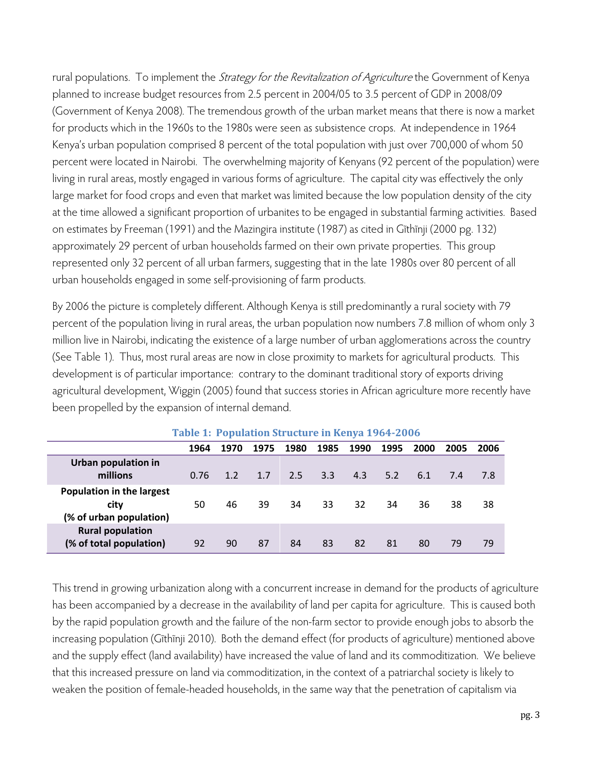rural populations. To implement the *Strategy for the Revitalization of Agriculture* the Government of Kenya planned to increase budget resources from 2.5 percent in 2004/05 to 3.5 percent of GDP in 2008/09 (Government of Kenya 2008). The tremendous growth of the urban market means that there is now a market for products which in the 1960s to the 1980s were seen as subsistence crops. At independence in 1964 Kenya's urban population comprised 8 percent of the total population with just over 700,000 of whom 50 percent were located in Nairobi. The overwhelming majority of Kenyans (92 percent of the population) were living in rural areas, mostly engaged in various forms of agriculture. The capital city was effectively the only large market for food crops and even that market was limited because the low population density of the city at the time allowed a significant proportion of urbanites to be engaged in substantial farming activities. Based on estimates by Freeman (1991) and the Mazingira institute (1987) as cited in Gĩthĩnji (2000 pg. 132) approximately 29 percent of urban households farmed on their own private properties. This group represented only 32 percent of all urban farmers, suggesting that in the late 1980s over 80 percent of all urban households engaged in some self-provisioning of farm products.

By 2006 the picture is completely different. Although Kenya is still predominantly a rural society with 79 percent of the population living in rural areas, the urban population now numbers 7.8 million of whom only 3 million live in Nairobi, indicating the existence of a large number of urban agglomerations across the country (See Table 1). Thus, most rural areas are now in close proximity to markets for agricultural products. This development is of particular importance: contrary to the dominant traditional story of exports driving agricultural development, Wiggin (2005) found that success stories in African agriculture more recently have been propelled by the expansion of internal demand.

|                                                                     | Table 1. I opulation su ucture in Kenya 170+-2000 |      |      |      |                  |      |      |      |      |      |
|---------------------------------------------------------------------|---------------------------------------------------|------|------|------|------------------|------|------|------|------|------|
|                                                                     | 1964                                              | 1970 | 1975 | 1980 | 1985             | 1990 | 1995 | 2000 | 2005 | 2006 |
| Urban population in<br>millions                                     | 0.76                                              | 1.2  | 1.7  | 2.5  | 3.3 <sup>°</sup> | 4.3  | 5.2  | 6.1  | 7.4  | -7.8 |
| <b>Population in the largest</b><br>city<br>(% of urban population) | 50                                                | 46   | 39   | 34   | 33               | 32   | 34   | 36   | 38   | 38   |
| <b>Rural population</b><br>(% of total population)                  | 92                                                | 90   | 87   | 84   | 83               | 82   | 81   | 80   | 79   | 79   |

**Table 1: Population Structure in Kenya 19642006**

This trend in growing urbanization along with a concurrent increase in demand for the products of agriculture has been accompanied by a decrease in the availability of land per capita for agriculture. This is caused both by the rapid population growth and the failure of the non-farm sector to provide enough jobs to absorb the increasing population (Gĩthĩnji 2010). Both the demand effect (for products of agriculture) mentioned above and the supply effect (land availability) have increased the value of land and its commoditization. We believe that this increased pressure on land via commoditization, in the context of a patriarchal society is likely to weaken the position of female-headed households, in the same way that the penetration of capitalism via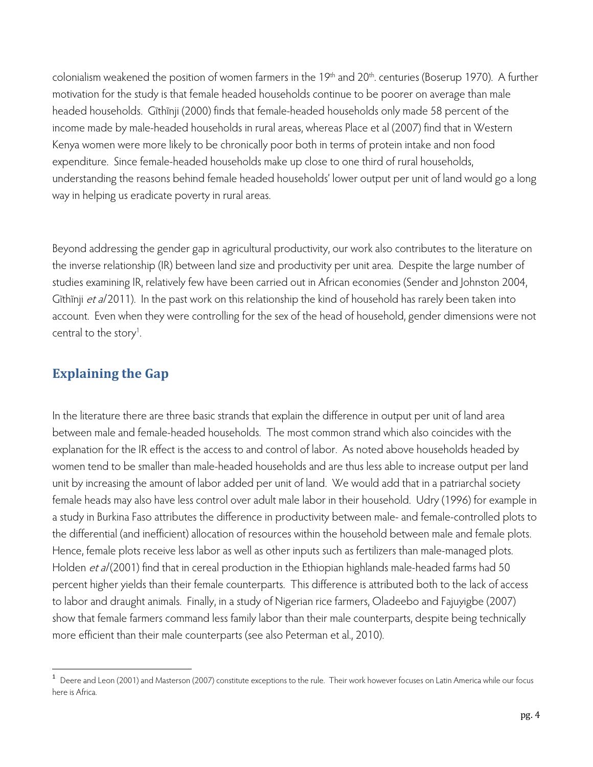colonialism weakened the position of women farmers in the 19<sup>th</sup> and 20<sup>th</sup>. centuries (Boserup 1970). A further motivation for the study is that female headed households continue to be poorer on average than male headed households. Gĩthĩnji (2000) finds that female-headed households only made 58 percent of the income made by male-headed households in rural areas, whereas Place et al (2007) find that in Western Kenya women were more likely to be chronically poor both in terms of protein intake and non food expenditure. Since female-headed households make up close to one third of rural households, understanding the reasons behind female headed households' lower output per unit of land would go a long way in helping us eradicate poverty in rural areas.

Beyond addressing the gender gap in agricultural productivity, our work also contributes to the literature on the inverse relationship (IR) between land size and productivity per unit area. Despite the large number of studies examining IR, relatively few have been carried out in African economies (Sender and Johnston 2004, Gĩthĩnji et a/2011). In the past work on this relationship the kind of household has rarely been taken into account. Even when they were controlling for the sex of the head of household, gender dimensions were not central to the story<sup>1</sup>.

### **Explaining the Gap**

In the literature there are three basic strands that explain the difference in output per unit of land area between male and female-headed households. The most common strand which also coincides with the explanation for the IR effect is the access to and control of labor. As noted above households headed by women tend to be smaller than male-headed households and are thus less able to increase output per land unit by increasing the amount of labor added per unit of land. We would add that in a patriarchal society female heads may also have less control over adult male labor in their household. Udry (1996) for example in a study in Burkina Faso attributes the difference in productivity between male- and female-controlled plots to the differential (and inefficient) allocation of resources within the household between male and female plots. Hence, female plots receive less labor as well as other inputs such as fertilizers than male-managed plots. Holden et al (2001) find that in cereal production in the Ethiopian highlands male-headed farms had 50 percent higher yields than their female counterparts. This difference is attributed both to the lack of access to labor and draught animals. Finally, in a study of Nigerian rice farmers, Oladeebo and Fajuyigbe (2007) show that female farmers command less family labor than their male counterparts, despite being technically more efficient than their male counterparts (see also Peterman et al., 2010).

<sup>1</sup> Deere and Leon (2001) and Masterson (2007) constitute exceptions to the rule. Their work however focuses on Latin America while our focus here is Africa.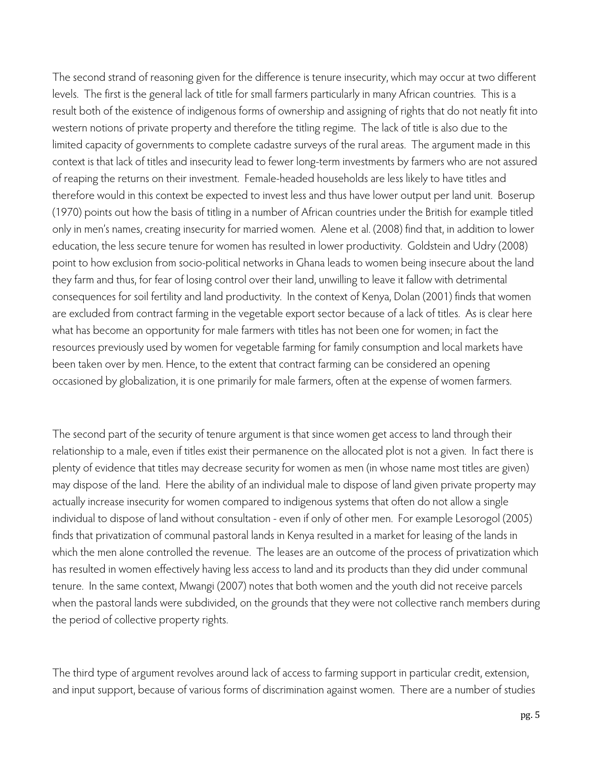The second strand of reasoning given for the difference is tenure insecurity, which may occur at two different levels. The first is the general lack of title for small farmers particularly in many African countries. This is a result both of the existence of indigenous forms of ownership and assigning of rights that do not neatly fit into western notions of private property and therefore the titling regime. The lack of title is also due to the limited capacity of governments to complete cadastre surveys of the rural areas. The argument made in this context is that lack of titles and insecurity lead to fewer long-term investments by farmers who are not assured of reaping the returns on their investment. Female-headed households are less likely to have titles and therefore would in this context be expected to invest less and thus have lower output per land unit. Boserup (1970) points out how the basis of titling in a number of African countries under the British for example titled only in men's names, creating insecurity for married women. Alene et al. (2008) find that, in addition to lower education, the less secure tenure for women has resulted in lower productivity. Goldstein and Udry (2008) point to how exclusion from socio-political networks in Ghana leads to women being insecure about the land they farm and thus, for fear of losing control over their land, unwilling to leave it fallow with detrimental consequences for soil fertility and land productivity. In the context of Kenya, Dolan (2001) finds that women are excluded from contract farming in the vegetable export sector because of a lack of titles. As is clear here what has become an opportunity for male farmers with titles has not been one for women; in fact the resources previously used by women for vegetable farming for family consumption and local markets have been taken over by men. Hence, to the extent that contract farming can be considered an opening occasioned by globalization, it is one primarily for male farmers, often at the expense of women farmers.

The second part of the security of tenure argument is that since women get access to land through their relationship to a male, even if titles exist their permanence on the allocated plot is not a given. In fact there is plenty of evidence that titles may decrease security for women as men (in whose name most titles are given) may dispose of the land. Here the ability of an individual male to dispose of land given private property may actually increase insecurity for women compared to indigenous systems that often do not allow a single individual to dispose of land without consultation - even if only of other men. For example Lesorogol (2005) finds that privatization of communal pastoral lands in Kenya resulted in a market for leasing of the lands in which the men alone controlled the revenue. The leases are an outcome of the process of privatization which has resulted in women effectively having less access to land and its products than they did under communal tenure. In the same context, Mwangi (2007) notes that both women and the youth did not receive parcels when the pastoral lands were subdivided, on the grounds that they were not collective ranch members during the period of collective property rights.

The third type of argument revolves around lack of access to farming support in particular credit, extension, and input support, because of various forms of discrimination against women. There are a number of studies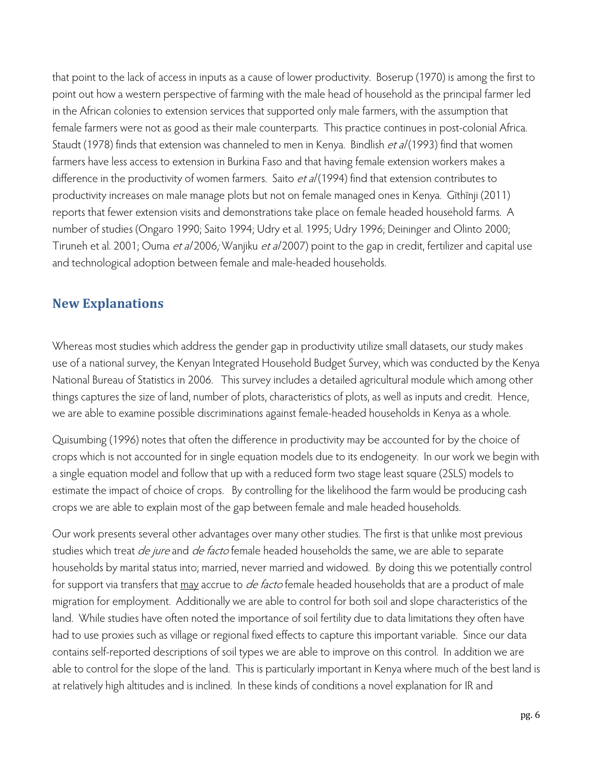that point to the lack of access in inputs as a cause of lower productivity. Boserup (1970) is among the first to point out how a western perspective of farming with the male head of household as the principal farmer led in the African colonies to extension services that supported only male farmers, with the assumption that female farmers were not as good as their male counterparts. This practice continues in post-colonial Africa. Staudt (1978) finds that extension was channeled to men in Kenya. Bindlish *et al* (1993) find that women farmers have less access to extension in Burkina Faso and that having female extension workers makes a difference in the productivity of women farmers. Saito et al (1994) find that extension contributes to productivity increases on male manage plots but not on female managed ones in Kenya. Gĩthĩnji (2011) reports that fewer extension visits and demonstrations take place on female headed household farms. A number of studies (Ongaro 1990; Saito 1994; Udry et al. 1995; Udry 1996; Deininger and Olinto 2000; Tiruneh et al. 2001; Ouma et al 2006; Wanjiku et al 2007) point to the gap in credit, fertilizer and capital use and technological adoption between female and male-headed households.

#### **New Explanations**

Whereas most studies which address the gender gap in productivity utilize small datasets, our study makes use of a national survey, the Kenyan Integrated Household Budget Survey, which was conducted by the Kenya National Bureau of Statistics in 2006. This survey includes a detailed agricultural module which among other things captures the size of land, number of plots, characteristics of plots, as well as inputs and credit. Hence, we are able to examine possible discriminations against female-headed households in Kenya as a whole.

Quisumbing (1996) notes that often the difference in productivity may be accounted for by the choice of crops which is not accounted for in single equation models due to its endogeneity. In our work we begin with a single equation model and follow that up with a reduced form two stage least square (2SLS) models to estimate the impact of choice of crops. By controlling for the likelihood the farm would be producing cash crops we are able to explain most of the gap between female and male headed households.

Our work presents several other advantages over many other studies. The first is that unlike most previous studies which treat *de jure* and *de facto* female headed households the same, we are able to separate households by marital status into; married, never married and widowed. By doing this we potentially control for support via transfers that may accrue to *de facto* female headed households that are a product of male migration for employment. Additionally we are able to control for both soil and slope characteristics of the land. While studies have often noted the importance of soil fertility due to data limitations they often have had to use proxies such as village or regional fixed effects to capture this important variable. Since our data contains self-reported descriptions of soil types we are able to improve on this control. In addition we are able to control for the slope of the land. This is particularly important in Kenya where much of the best land is at relatively high altitudes and is inclined. In these kinds of conditions a novel explanation for IR and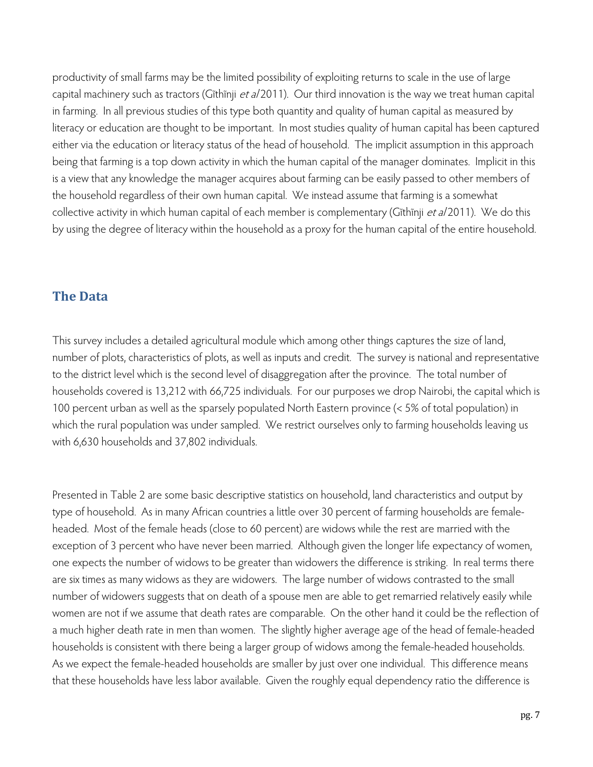productivity of small farms may be the limited possibility of exploiting returns to scale in the use of large capital machinery such as tractors (Gîthînji et al 2011). Our third innovation is the way we treat human capital in farming. In all previous studies of this type both quantity and quality of human capital as measured by literacy or education are thought to be important. In most studies quality of human capital has been captured either via the education or literacy status of the head of household. The implicit assumption in this approach being that farming is a top down activity in which the human capital of the manager dominates. Implicit in this is a view that any knowledge the manager acquires about farming can be easily passed to other members of the household regardless of their own human capital. We instead assume that farming is a somewhat collective activity in which human capital of each member is complementary (Gĩthĩnji et a/2011). We do this by using the degree of literacy within the household as a proxy for the human capital of the entire household.

#### **The Data**

This survey includes a detailed agricultural module which among other things captures the size of land, number of plots, characteristics of plots, as well as inputs and credit. The survey is national and representative to the district level which is the second level of disaggregation after the province. The total number of households covered is 13,212 with 66,725 individuals. For our purposes we drop Nairobi, the capital which is 100 percent urban as well as the sparsely populated North Eastern province (< 5% of total population) in which the rural population was under sampled. We restrict ourselves only to farming households leaving us with 6,630 households and 37,802 individuals.

Presented in Table 2 are some basic descriptive statistics on household, land characteristics and output by type of household. As in many African countries a little over 30 percent of farming households are femaleheaded. Most of the female heads (close to 60 percent) are widows while the rest are married with the exception of 3 percent who have never been married. Although given the longer life expectancy of women, one expects the number of widows to be greater than widowers the difference is striking. In real terms there are six times as many widows as they are widowers. The large number of widows contrasted to the small number of widowers suggests that on death of a spouse men are able to get remarried relatively easily while women are not if we assume that death rates are comparable. On the other hand it could be the reflection of a much higher death rate in men than women. The slightly higher average age of the head of female-headed households is consistent with there being a larger group of widows among the female-headed households. As we expect the female-headed households are smaller by just over one individual. This difference means that these households have less labor available. Given the roughly equal dependency ratio the difference is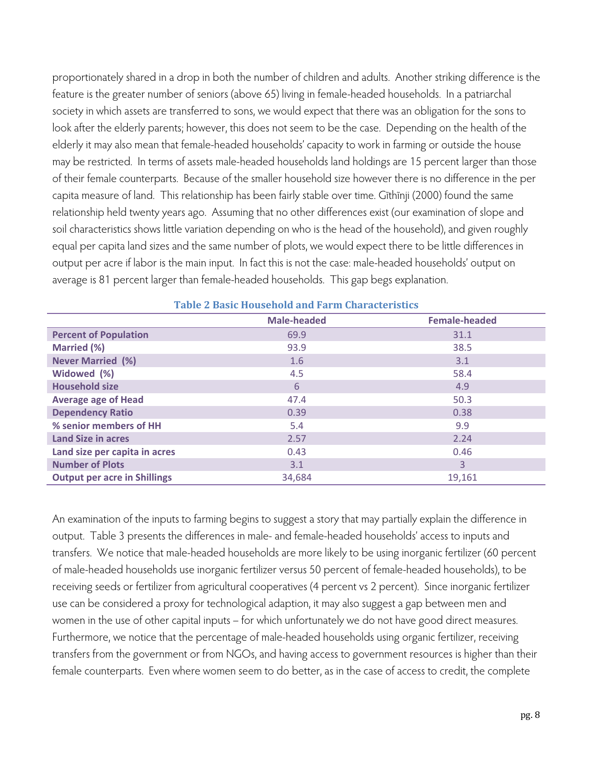proportionately shared in a drop in both the number of children and adults. Another striking difference is the feature is the greater number of seniors (above 65) living in female-headed households. In a patriarchal society in which assets are transferred to sons, we would expect that there was an obligation for the sons to look after the elderly parents; however, this does not seem to be the case. Depending on the health of the elderly it may also mean that female-headed households' capacity to work in farming or outside the house may be restricted. In terms of assets male-headed households land holdings are 15 percent larger than those of their female counterparts. Because of the smaller household size however there is no difference in the per capita measure of land. This relationship has been fairly stable over time. Gĩthĩnji (2000) found the same relationship held twenty years ago. Assuming that no other differences exist (our examination of slope and soil characteristics shows little variation depending on who is the head of the household), and given roughly equal per capita land sizes and the same number of plots, we would expect there to be little differences in output per acre if labor is the main input. In fact this is not the case: male-headed households' output on average is 81 percent larger than female-headed households. This gap begs explanation.

|                                     | <b>Male-headed</b> | <b>Female-headed</b> |  |  |  |
|-------------------------------------|--------------------|----------------------|--|--|--|
| <b>Percent of Population</b>        | 69.9               | 31.1                 |  |  |  |
| <b>Married (%)</b>                  | 93.9               | 38.5                 |  |  |  |
| <b>Never Married (%)</b>            | 1.6                | 3.1                  |  |  |  |
| Widowed (%)                         | 4.5                | 58.4                 |  |  |  |
| <b>Household size</b>               | 6                  | 4.9                  |  |  |  |
| <b>Average age of Head</b>          | 47.4               | 50.3                 |  |  |  |
| <b>Dependency Ratio</b>             | 0.39               | 0.38                 |  |  |  |
| % senior members of HH              | 5.4                | 9.9                  |  |  |  |
| <b>Land Size in acres</b>           | 2.57               | 2.24                 |  |  |  |
| Land size per capita in acres       | 0.43               | 0.46                 |  |  |  |
| <b>Number of Plots</b>              | 3.1                | $\overline{3}$       |  |  |  |
| <b>Output per acre in Shillings</b> | 34,684             | 19,161               |  |  |  |

#### **Table 2 Basic Household and Farm Characteristics**

An examination of the inputs to farming begins to suggest a story that may partially explain the difference in output. Table 3 presents the differences in male- and female-headed households' access to inputs and transfers. We notice that male-headed households are more likely to be using inorganic fertilizer (60 percent of male-headed households use inorganic fertilizer versus 50 percent of female-headed households), to be receiving seeds or fertilizer from agricultural cooperatives (4 percent vs 2 percent). Since inorganic fertilizer use can be considered a proxy for technological adaption, it may also suggest a gap between men and women in the use of other capital inputs – for which unfortunately we do not have good direct measures. Furthermore, we notice that the percentage of male-headed households using organic fertilizer, receiving transfers from the government or from NGOs, and having access to government resources is higher than their female counterparts. Even where women seem to do better, as in the case of access to credit, the complete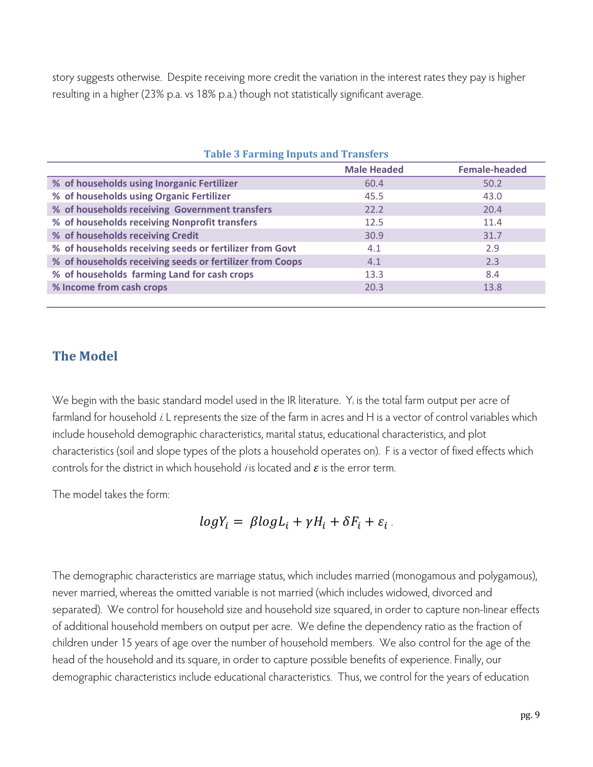story suggests otherwise. Despite receiving more credit the variation in the interest rates they pay is higher resulting in a higher (23% p.a. vs 18% p.a.) though not statistically significant average.

| <b>Table 3 Farming Inputs and Transfers</b>              |                    |                      |  |  |  |
|----------------------------------------------------------|--------------------|----------------------|--|--|--|
|                                                          | <b>Male Headed</b> | <b>Female-headed</b> |  |  |  |
| % of households using Inorganic Fertilizer               | 60.4               | 50.2                 |  |  |  |
| % of households using Organic Fertilizer                 | 45.5               | 43.0                 |  |  |  |
| % of households receiving Government transfers           | 22.2               | 20.4                 |  |  |  |
| % of households receiving Nonprofit transfers            | 12.5               | 11.4                 |  |  |  |
| % of households receiving Credit                         | 30.9               | 31.7                 |  |  |  |
| % of households receiving seeds or fertilizer from Govt  | 4.1                | 2.9                  |  |  |  |
| % of households receiving seeds or fertilizer from Coops | 4.1                | 2.3                  |  |  |  |
| % of households farming Land for cash crops              | 13.3               | 8.4                  |  |  |  |
| % Income from cash crops                                 | 20.3               | 13.8                 |  |  |  |
|                                                          |                    |                      |  |  |  |

#### **The Model**

We begin with the basic standard model used in the IR literature. Y<sub>i</sub> is the total farm output per acre of farmland for household i. L represents the size of the farm in acres and H is a vector of control variables which include household demographic characteristics, marital status, educational characteristics, and plot characteristics (soil and slope types of the plots a household operates on). F is a vector of fixed effects which controls for the district in which household *i* is located and  $\varepsilon$  is the error term.

The model takes the form:

 $logY_i = \beta logL_i + \gamma H_i + \delta F_i + \varepsilon_i$ .

The demographic characteristics are marriage status, which includes married (monogamous and polygamous), never married, whereas the omitted variable is not married (which includes widowed, divorced and separated). We control for household size and household size squared, in order to capture non-linear effects of additional household members on output per acre. We define the dependency ratio as the fraction of children under 15 years of age over the number of household members. We also control for the age of the head of the household and its square, in order to capture possible benefits of experience. Finally, our demographic characteristics include educational characteristics. Thus, we control for the years of education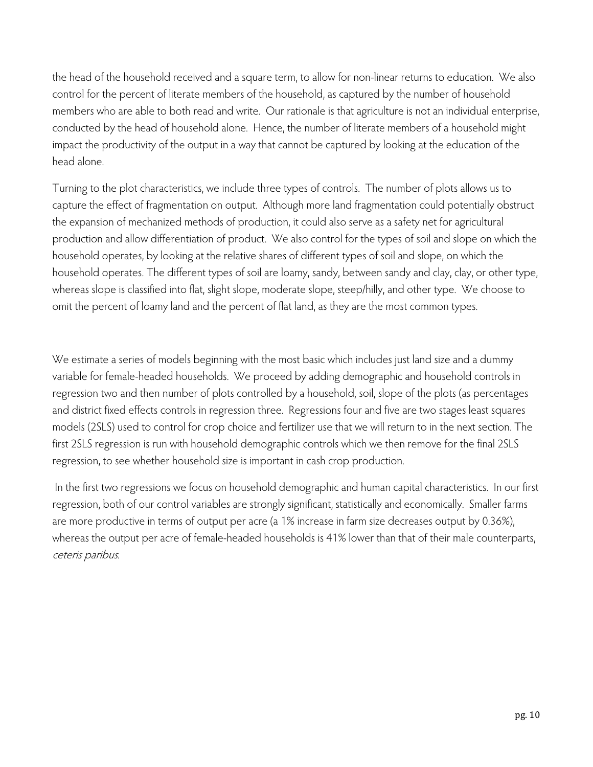the head of the household received and a square term, to allow for non-linear returns to education. We also control for the percent of literate members of the household, as captured by the number of household members who are able to both read and write. Our rationale is that agriculture is not an individual enterprise, conducted by the head of household alone. Hence, the number of literate members of a household might impact the productivity of the output in a way that cannot be captured by looking at the education of the head alone.

Turning to the plot characteristics, we include three types of controls. The number of plots allows us to capture the effect of fragmentation on output. Although more land fragmentation could potentially obstruct the expansion of mechanized methods of production, it could also serve as a safety net for agricultural production and allow differentiation of product. We also control for the types of soil and slope on which the household operates, by looking at the relative shares of different types of soil and slope, on which the household operates. The different types of soil are loamy, sandy, between sandy and clay, clay, or other type, whereas slope is classified into flat, slight slope, moderate slope, steep/hilly, and other type. We choose to omit the percent of loamy land and the percent of flat land, as they are the most common types.

We estimate a series of models beginning with the most basic which includes just land size and a dummy variable for female-headed households. We proceed by adding demographic and household controls in regression two and then number of plots controlled by a household, soil, slope of the plots (as percentages and district fixed effects controls in regression three. Regressions four and five are two stages least squares models (2SLS) used to control for crop choice and fertilizer use that we will return to in the next section. The first 2SLS regression is run with household demographic controls which we then remove for the final 2SLS regression, to see whether household size is important in cash crop production.

 In the first two regressions we focus on household demographic and human capital characteristics. In our first regression, both of our control variables are strongly significant, statistically and economically. Smaller farms are more productive in terms of output per acre (a 1% increase in farm size decreases output by 0.36%), whereas the output per acre of female-headed households is 41% lower than that of their male counterparts, ceteris paribus.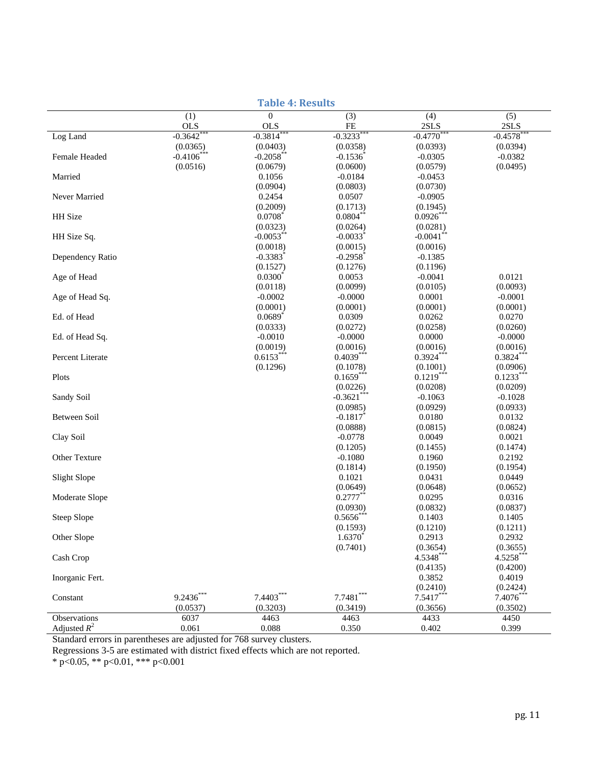| (3)<br>(5)<br>(1)<br>$\overline{0}$<br>(4)<br><b>OLS</b><br><b>OLS</b><br>FE<br>2SLS<br>2SLS<br>$-0.3642$ **<br>$-0.3814$ **<br>$-0.3233$ **<br>$-0.4770$ **<br>$-0.4578$ **<br>Log Land<br>(0.0365)<br>(0.0403)<br>(0.0358)<br>(0.0393)<br>(0.0394)<br>$-0.4106$ ***<br>$-0.2058$ **<br>$-0.1536$<br>$-0.0305$<br>$-0.0382$<br>Female Headed<br>(0.0516)<br>(0.0600)<br>(0.0579)<br>(0.0495)<br>(0.0679)<br>Married<br>0.1056<br>$-0.0184$<br>$-0.0453$<br>(0.0904)<br>(0.0803)<br>(0.0730)<br>Never Married<br>0.2454<br>0.0507<br>$-0.0905$<br>(0.2009)<br>(0.1713)<br>(0.1945)<br>$0.0804$ **<br>$0.0926***$<br>HH Size<br>0.0708<br>(0.0323)<br>(0.0264)<br>(0.0281)<br>$-0.0053$ **<br>$-0.0033$ <sup>*</sup><br>$-0.0041$ **<br>HH Size Sq.<br>(0.0018)<br>(0.0015)<br>(0.0016)<br>$-0.3383$ <sup>*</sup><br>$-0.2958$ <sup>*</sup><br>Dependency Ratio<br>$-0.1385$<br>(0.1527)<br>(0.1276)<br>(0.1196)<br>$0.0300^*$<br>Age of Head<br>0.0053<br>$-0.0041$<br>0.0121<br>(0.0099)<br>(0.0105)<br>(0.0093)<br>(0.0118)<br>Age of Head Sq.<br>$-0.0002$<br>$-0.0000$<br>0.0001<br>$-0.0001$<br>(0.0001)<br>(0.0001)<br>(0.0001)<br>(0.0001)<br>Ed. of Head<br>$0.0689$ <sup>*</sup><br>0.0262<br>0.0270<br>0.0309<br>(0.0333)<br>(0.0272)<br>(0.0258)<br>(0.0260)<br>Ed. of Head Sq.<br>$-0.0010$<br>$-0.0000$<br>0.0000<br>$-0.0000$<br>(0.0019)<br>(0.0016)<br>(0.0016)<br>(0.0016)<br>$0.3924***$<br>$0.6153***$<br>$0.4039***$<br>$0.3824***$<br>Percent Literate<br>(0.1296)<br>(0.1001)<br>(0.0906)<br>(0.1078)<br>$0.1659***$<br>$0.1219***$<br>$0.1233***$<br>Plots<br>(0.0226)<br>(0.0208)<br>(0.0209)<br>$-0.3621$ ***<br>Sandy Soil<br>$-0.1063$<br>$-0.1028$<br>(0.0985)<br>(0.0929)<br>(0.0933)<br>$-0.1817$<br>Between Soil<br>0.0180<br>0.0132<br>(0.0888)<br>(0.0815)<br>(0.0824)<br>Clay Soil<br>$-0.0778$<br>0.0049<br>0.0021<br>(0.1205)<br>(0.1474)<br>(0.1455)<br>Other Texture<br>$-0.1080$<br>0.1960<br>0.2192<br>(0.1814)<br>(0.1950)<br>(0.1954)<br>Slight Slope<br>0.1021<br>0.0431<br>0.0449<br>(0.0649)<br>(0.0648)<br>(0.0652)<br>0.2777<br>Moderate Slope<br>0.0295<br>0.0316<br>(0.0930)<br>(0.0832)<br>(0.0837)<br>$0.5656*$<br>Steep Slope<br>0.1403<br>0.1405<br>(0.1593)<br>(0.1210)<br>(0.1211)<br>Other Slope<br>$1.6370^{*}$<br>0.2913<br>0.2932<br>(0.7401)<br>(0.3654)<br>(0.3655)<br>4.5348***<br>4.5258***<br>Cash Crop<br>(0.4135)<br>(0.4200)<br>0.4019<br>Inorganic Fert.<br>0.3852<br>(0.2410)<br>(0.2424)<br>$9.2436***$<br>$7.4403***$<br>$7.7481***$<br>$7.5417***$<br>$7.4076***$<br>Constant<br>(0.0537)<br>(0.3203)<br>(0.3419)<br>(0.3656)<br>(0.3502)<br>6037<br>4463<br>4463<br>4433<br>4450<br>Observations | <b>Table 4: Results</b> |       |       |       |       |       |  |
|---------------------------------------------------------------------------------------------------------------------------------------------------------------------------------------------------------------------------------------------------------------------------------------------------------------------------------------------------------------------------------------------------------------------------------------------------------------------------------------------------------------------------------------------------------------------------------------------------------------------------------------------------------------------------------------------------------------------------------------------------------------------------------------------------------------------------------------------------------------------------------------------------------------------------------------------------------------------------------------------------------------------------------------------------------------------------------------------------------------------------------------------------------------------------------------------------------------------------------------------------------------------------------------------------------------------------------------------------------------------------------------------------------------------------------------------------------------------------------------------------------------------------------------------------------------------------------------------------------------------------------------------------------------------------------------------------------------------------------------------------------------------------------------------------------------------------------------------------------------------------------------------------------------------------------------------------------------------------------------------------------------------------------------------------------------------------------------------------------------------------------------------------------------------------------------------------------------------------------------------------------------------------------------------------------------------------------------------------------------------------------------------------------------------------------------------------------------------------------------------------------------------------------------------------------------------------------------------------------------------------------------------------------------------------|-------------------------|-------|-------|-------|-------|-------|--|
|                                                                                                                                                                                                                                                                                                                                                                                                                                                                                                                                                                                                                                                                                                                                                                                                                                                                                                                                                                                                                                                                                                                                                                                                                                                                                                                                                                                                                                                                                                                                                                                                                                                                                                                                                                                                                                                                                                                                                                                                                                                                                                                                                                                                                                                                                                                                                                                                                                                                                                                                                                                                                                                                           |                         |       |       |       |       |       |  |
|                                                                                                                                                                                                                                                                                                                                                                                                                                                                                                                                                                                                                                                                                                                                                                                                                                                                                                                                                                                                                                                                                                                                                                                                                                                                                                                                                                                                                                                                                                                                                                                                                                                                                                                                                                                                                                                                                                                                                                                                                                                                                                                                                                                                                                                                                                                                                                                                                                                                                                                                                                                                                                                                           |                         |       |       |       |       |       |  |
|                                                                                                                                                                                                                                                                                                                                                                                                                                                                                                                                                                                                                                                                                                                                                                                                                                                                                                                                                                                                                                                                                                                                                                                                                                                                                                                                                                                                                                                                                                                                                                                                                                                                                                                                                                                                                                                                                                                                                                                                                                                                                                                                                                                                                                                                                                                                                                                                                                                                                                                                                                                                                                                                           |                         |       |       |       |       |       |  |
|                                                                                                                                                                                                                                                                                                                                                                                                                                                                                                                                                                                                                                                                                                                                                                                                                                                                                                                                                                                                                                                                                                                                                                                                                                                                                                                                                                                                                                                                                                                                                                                                                                                                                                                                                                                                                                                                                                                                                                                                                                                                                                                                                                                                                                                                                                                                                                                                                                                                                                                                                                                                                                                                           |                         |       |       |       |       |       |  |
|                                                                                                                                                                                                                                                                                                                                                                                                                                                                                                                                                                                                                                                                                                                                                                                                                                                                                                                                                                                                                                                                                                                                                                                                                                                                                                                                                                                                                                                                                                                                                                                                                                                                                                                                                                                                                                                                                                                                                                                                                                                                                                                                                                                                                                                                                                                                                                                                                                                                                                                                                                                                                                                                           |                         |       |       |       |       |       |  |
|                                                                                                                                                                                                                                                                                                                                                                                                                                                                                                                                                                                                                                                                                                                                                                                                                                                                                                                                                                                                                                                                                                                                                                                                                                                                                                                                                                                                                                                                                                                                                                                                                                                                                                                                                                                                                                                                                                                                                                                                                                                                                                                                                                                                                                                                                                                                                                                                                                                                                                                                                                                                                                                                           |                         |       |       |       |       |       |  |
|                                                                                                                                                                                                                                                                                                                                                                                                                                                                                                                                                                                                                                                                                                                                                                                                                                                                                                                                                                                                                                                                                                                                                                                                                                                                                                                                                                                                                                                                                                                                                                                                                                                                                                                                                                                                                                                                                                                                                                                                                                                                                                                                                                                                                                                                                                                                                                                                                                                                                                                                                                                                                                                                           |                         |       |       |       |       |       |  |
|                                                                                                                                                                                                                                                                                                                                                                                                                                                                                                                                                                                                                                                                                                                                                                                                                                                                                                                                                                                                                                                                                                                                                                                                                                                                                                                                                                                                                                                                                                                                                                                                                                                                                                                                                                                                                                                                                                                                                                                                                                                                                                                                                                                                                                                                                                                                                                                                                                                                                                                                                                                                                                                                           |                         |       |       |       |       |       |  |
|                                                                                                                                                                                                                                                                                                                                                                                                                                                                                                                                                                                                                                                                                                                                                                                                                                                                                                                                                                                                                                                                                                                                                                                                                                                                                                                                                                                                                                                                                                                                                                                                                                                                                                                                                                                                                                                                                                                                                                                                                                                                                                                                                                                                                                                                                                                                                                                                                                                                                                                                                                                                                                                                           |                         |       |       |       |       |       |  |
|                                                                                                                                                                                                                                                                                                                                                                                                                                                                                                                                                                                                                                                                                                                                                                                                                                                                                                                                                                                                                                                                                                                                                                                                                                                                                                                                                                                                                                                                                                                                                                                                                                                                                                                                                                                                                                                                                                                                                                                                                                                                                                                                                                                                                                                                                                                                                                                                                                                                                                                                                                                                                                                                           |                         |       |       |       |       |       |  |
|                                                                                                                                                                                                                                                                                                                                                                                                                                                                                                                                                                                                                                                                                                                                                                                                                                                                                                                                                                                                                                                                                                                                                                                                                                                                                                                                                                                                                                                                                                                                                                                                                                                                                                                                                                                                                                                                                                                                                                                                                                                                                                                                                                                                                                                                                                                                                                                                                                                                                                                                                                                                                                                                           |                         |       |       |       |       |       |  |
|                                                                                                                                                                                                                                                                                                                                                                                                                                                                                                                                                                                                                                                                                                                                                                                                                                                                                                                                                                                                                                                                                                                                                                                                                                                                                                                                                                                                                                                                                                                                                                                                                                                                                                                                                                                                                                                                                                                                                                                                                                                                                                                                                                                                                                                                                                                                                                                                                                                                                                                                                                                                                                                                           |                         |       |       |       |       |       |  |
|                                                                                                                                                                                                                                                                                                                                                                                                                                                                                                                                                                                                                                                                                                                                                                                                                                                                                                                                                                                                                                                                                                                                                                                                                                                                                                                                                                                                                                                                                                                                                                                                                                                                                                                                                                                                                                                                                                                                                                                                                                                                                                                                                                                                                                                                                                                                                                                                                                                                                                                                                                                                                                                                           |                         |       |       |       |       |       |  |
|                                                                                                                                                                                                                                                                                                                                                                                                                                                                                                                                                                                                                                                                                                                                                                                                                                                                                                                                                                                                                                                                                                                                                                                                                                                                                                                                                                                                                                                                                                                                                                                                                                                                                                                                                                                                                                                                                                                                                                                                                                                                                                                                                                                                                                                                                                                                                                                                                                                                                                                                                                                                                                                                           |                         |       |       |       |       |       |  |
|                                                                                                                                                                                                                                                                                                                                                                                                                                                                                                                                                                                                                                                                                                                                                                                                                                                                                                                                                                                                                                                                                                                                                                                                                                                                                                                                                                                                                                                                                                                                                                                                                                                                                                                                                                                                                                                                                                                                                                                                                                                                                                                                                                                                                                                                                                                                                                                                                                                                                                                                                                                                                                                                           |                         |       |       |       |       |       |  |
|                                                                                                                                                                                                                                                                                                                                                                                                                                                                                                                                                                                                                                                                                                                                                                                                                                                                                                                                                                                                                                                                                                                                                                                                                                                                                                                                                                                                                                                                                                                                                                                                                                                                                                                                                                                                                                                                                                                                                                                                                                                                                                                                                                                                                                                                                                                                                                                                                                                                                                                                                                                                                                                                           |                         |       |       |       |       |       |  |
|                                                                                                                                                                                                                                                                                                                                                                                                                                                                                                                                                                                                                                                                                                                                                                                                                                                                                                                                                                                                                                                                                                                                                                                                                                                                                                                                                                                                                                                                                                                                                                                                                                                                                                                                                                                                                                                                                                                                                                                                                                                                                                                                                                                                                                                                                                                                                                                                                                                                                                                                                                                                                                                                           |                         |       |       |       |       |       |  |
|                                                                                                                                                                                                                                                                                                                                                                                                                                                                                                                                                                                                                                                                                                                                                                                                                                                                                                                                                                                                                                                                                                                                                                                                                                                                                                                                                                                                                                                                                                                                                                                                                                                                                                                                                                                                                                                                                                                                                                                                                                                                                                                                                                                                                                                                                                                                                                                                                                                                                                                                                                                                                                                                           |                         |       |       |       |       |       |  |
|                                                                                                                                                                                                                                                                                                                                                                                                                                                                                                                                                                                                                                                                                                                                                                                                                                                                                                                                                                                                                                                                                                                                                                                                                                                                                                                                                                                                                                                                                                                                                                                                                                                                                                                                                                                                                                                                                                                                                                                                                                                                                                                                                                                                                                                                                                                                                                                                                                                                                                                                                                                                                                                                           |                         |       |       |       |       |       |  |
|                                                                                                                                                                                                                                                                                                                                                                                                                                                                                                                                                                                                                                                                                                                                                                                                                                                                                                                                                                                                                                                                                                                                                                                                                                                                                                                                                                                                                                                                                                                                                                                                                                                                                                                                                                                                                                                                                                                                                                                                                                                                                                                                                                                                                                                                                                                                                                                                                                                                                                                                                                                                                                                                           |                         |       |       |       |       |       |  |
|                                                                                                                                                                                                                                                                                                                                                                                                                                                                                                                                                                                                                                                                                                                                                                                                                                                                                                                                                                                                                                                                                                                                                                                                                                                                                                                                                                                                                                                                                                                                                                                                                                                                                                                                                                                                                                                                                                                                                                                                                                                                                                                                                                                                                                                                                                                                                                                                                                                                                                                                                                                                                                                                           |                         |       |       |       |       |       |  |
|                                                                                                                                                                                                                                                                                                                                                                                                                                                                                                                                                                                                                                                                                                                                                                                                                                                                                                                                                                                                                                                                                                                                                                                                                                                                                                                                                                                                                                                                                                                                                                                                                                                                                                                                                                                                                                                                                                                                                                                                                                                                                                                                                                                                                                                                                                                                                                                                                                                                                                                                                                                                                                                                           |                         |       |       |       |       |       |  |
|                                                                                                                                                                                                                                                                                                                                                                                                                                                                                                                                                                                                                                                                                                                                                                                                                                                                                                                                                                                                                                                                                                                                                                                                                                                                                                                                                                                                                                                                                                                                                                                                                                                                                                                                                                                                                                                                                                                                                                                                                                                                                                                                                                                                                                                                                                                                                                                                                                                                                                                                                                                                                                                                           |                         |       |       |       |       |       |  |
|                                                                                                                                                                                                                                                                                                                                                                                                                                                                                                                                                                                                                                                                                                                                                                                                                                                                                                                                                                                                                                                                                                                                                                                                                                                                                                                                                                                                                                                                                                                                                                                                                                                                                                                                                                                                                                                                                                                                                                                                                                                                                                                                                                                                                                                                                                                                                                                                                                                                                                                                                                                                                                                                           |                         |       |       |       |       |       |  |
|                                                                                                                                                                                                                                                                                                                                                                                                                                                                                                                                                                                                                                                                                                                                                                                                                                                                                                                                                                                                                                                                                                                                                                                                                                                                                                                                                                                                                                                                                                                                                                                                                                                                                                                                                                                                                                                                                                                                                                                                                                                                                                                                                                                                                                                                                                                                                                                                                                                                                                                                                                                                                                                                           |                         |       |       |       |       |       |  |
|                                                                                                                                                                                                                                                                                                                                                                                                                                                                                                                                                                                                                                                                                                                                                                                                                                                                                                                                                                                                                                                                                                                                                                                                                                                                                                                                                                                                                                                                                                                                                                                                                                                                                                                                                                                                                                                                                                                                                                                                                                                                                                                                                                                                                                                                                                                                                                                                                                                                                                                                                                                                                                                                           |                         |       |       |       |       |       |  |
|                                                                                                                                                                                                                                                                                                                                                                                                                                                                                                                                                                                                                                                                                                                                                                                                                                                                                                                                                                                                                                                                                                                                                                                                                                                                                                                                                                                                                                                                                                                                                                                                                                                                                                                                                                                                                                                                                                                                                                                                                                                                                                                                                                                                                                                                                                                                                                                                                                                                                                                                                                                                                                                                           |                         |       |       |       |       |       |  |
|                                                                                                                                                                                                                                                                                                                                                                                                                                                                                                                                                                                                                                                                                                                                                                                                                                                                                                                                                                                                                                                                                                                                                                                                                                                                                                                                                                                                                                                                                                                                                                                                                                                                                                                                                                                                                                                                                                                                                                                                                                                                                                                                                                                                                                                                                                                                                                                                                                                                                                                                                                                                                                                                           |                         |       |       |       |       |       |  |
|                                                                                                                                                                                                                                                                                                                                                                                                                                                                                                                                                                                                                                                                                                                                                                                                                                                                                                                                                                                                                                                                                                                                                                                                                                                                                                                                                                                                                                                                                                                                                                                                                                                                                                                                                                                                                                                                                                                                                                                                                                                                                                                                                                                                                                                                                                                                                                                                                                                                                                                                                                                                                                                                           |                         |       |       |       |       |       |  |
|                                                                                                                                                                                                                                                                                                                                                                                                                                                                                                                                                                                                                                                                                                                                                                                                                                                                                                                                                                                                                                                                                                                                                                                                                                                                                                                                                                                                                                                                                                                                                                                                                                                                                                                                                                                                                                                                                                                                                                                                                                                                                                                                                                                                                                                                                                                                                                                                                                                                                                                                                                                                                                                                           |                         |       |       |       |       |       |  |
|                                                                                                                                                                                                                                                                                                                                                                                                                                                                                                                                                                                                                                                                                                                                                                                                                                                                                                                                                                                                                                                                                                                                                                                                                                                                                                                                                                                                                                                                                                                                                                                                                                                                                                                                                                                                                                                                                                                                                                                                                                                                                                                                                                                                                                                                                                                                                                                                                                                                                                                                                                                                                                                                           |                         |       |       |       |       |       |  |
|                                                                                                                                                                                                                                                                                                                                                                                                                                                                                                                                                                                                                                                                                                                                                                                                                                                                                                                                                                                                                                                                                                                                                                                                                                                                                                                                                                                                                                                                                                                                                                                                                                                                                                                                                                                                                                                                                                                                                                                                                                                                                                                                                                                                                                                                                                                                                                                                                                                                                                                                                                                                                                                                           |                         |       |       |       |       |       |  |
|                                                                                                                                                                                                                                                                                                                                                                                                                                                                                                                                                                                                                                                                                                                                                                                                                                                                                                                                                                                                                                                                                                                                                                                                                                                                                                                                                                                                                                                                                                                                                                                                                                                                                                                                                                                                                                                                                                                                                                                                                                                                                                                                                                                                                                                                                                                                                                                                                                                                                                                                                                                                                                                                           |                         |       |       |       |       |       |  |
|                                                                                                                                                                                                                                                                                                                                                                                                                                                                                                                                                                                                                                                                                                                                                                                                                                                                                                                                                                                                                                                                                                                                                                                                                                                                                                                                                                                                                                                                                                                                                                                                                                                                                                                                                                                                                                                                                                                                                                                                                                                                                                                                                                                                                                                                                                                                                                                                                                                                                                                                                                                                                                                                           |                         |       |       |       |       |       |  |
|                                                                                                                                                                                                                                                                                                                                                                                                                                                                                                                                                                                                                                                                                                                                                                                                                                                                                                                                                                                                                                                                                                                                                                                                                                                                                                                                                                                                                                                                                                                                                                                                                                                                                                                                                                                                                                                                                                                                                                                                                                                                                                                                                                                                                                                                                                                                                                                                                                                                                                                                                                                                                                                                           |                         |       |       |       |       |       |  |
|                                                                                                                                                                                                                                                                                                                                                                                                                                                                                                                                                                                                                                                                                                                                                                                                                                                                                                                                                                                                                                                                                                                                                                                                                                                                                                                                                                                                                                                                                                                                                                                                                                                                                                                                                                                                                                                                                                                                                                                                                                                                                                                                                                                                                                                                                                                                                                                                                                                                                                                                                                                                                                                                           |                         |       |       |       |       |       |  |
|                                                                                                                                                                                                                                                                                                                                                                                                                                                                                                                                                                                                                                                                                                                                                                                                                                                                                                                                                                                                                                                                                                                                                                                                                                                                                                                                                                                                                                                                                                                                                                                                                                                                                                                                                                                                                                                                                                                                                                                                                                                                                                                                                                                                                                                                                                                                                                                                                                                                                                                                                                                                                                                                           |                         |       |       |       |       |       |  |
|                                                                                                                                                                                                                                                                                                                                                                                                                                                                                                                                                                                                                                                                                                                                                                                                                                                                                                                                                                                                                                                                                                                                                                                                                                                                                                                                                                                                                                                                                                                                                                                                                                                                                                                                                                                                                                                                                                                                                                                                                                                                                                                                                                                                                                                                                                                                                                                                                                                                                                                                                                                                                                                                           |                         |       |       |       |       |       |  |
|                                                                                                                                                                                                                                                                                                                                                                                                                                                                                                                                                                                                                                                                                                                                                                                                                                                                                                                                                                                                                                                                                                                                                                                                                                                                                                                                                                                                                                                                                                                                                                                                                                                                                                                                                                                                                                                                                                                                                                                                                                                                                                                                                                                                                                                                                                                                                                                                                                                                                                                                                                                                                                                                           |                         |       |       |       |       |       |  |
|                                                                                                                                                                                                                                                                                                                                                                                                                                                                                                                                                                                                                                                                                                                                                                                                                                                                                                                                                                                                                                                                                                                                                                                                                                                                                                                                                                                                                                                                                                                                                                                                                                                                                                                                                                                                                                                                                                                                                                                                                                                                                                                                                                                                                                                                                                                                                                                                                                                                                                                                                                                                                                                                           |                         |       |       |       |       |       |  |
|                                                                                                                                                                                                                                                                                                                                                                                                                                                                                                                                                                                                                                                                                                                                                                                                                                                                                                                                                                                                                                                                                                                                                                                                                                                                                                                                                                                                                                                                                                                                                                                                                                                                                                                                                                                                                                                                                                                                                                                                                                                                                                                                                                                                                                                                                                                                                                                                                                                                                                                                                                                                                                                                           |                         |       |       |       |       |       |  |
|                                                                                                                                                                                                                                                                                                                                                                                                                                                                                                                                                                                                                                                                                                                                                                                                                                                                                                                                                                                                                                                                                                                                                                                                                                                                                                                                                                                                                                                                                                                                                                                                                                                                                                                                                                                                                                                                                                                                                                                                                                                                                                                                                                                                                                                                                                                                                                                                                                                                                                                                                                                                                                                                           |                         |       |       |       |       |       |  |
|                                                                                                                                                                                                                                                                                                                                                                                                                                                                                                                                                                                                                                                                                                                                                                                                                                                                                                                                                                                                                                                                                                                                                                                                                                                                                                                                                                                                                                                                                                                                                                                                                                                                                                                                                                                                                                                                                                                                                                                                                                                                                                                                                                                                                                                                                                                                                                                                                                                                                                                                                                                                                                                                           |                         |       |       |       |       |       |  |
|                                                                                                                                                                                                                                                                                                                                                                                                                                                                                                                                                                                                                                                                                                                                                                                                                                                                                                                                                                                                                                                                                                                                                                                                                                                                                                                                                                                                                                                                                                                                                                                                                                                                                                                                                                                                                                                                                                                                                                                                                                                                                                                                                                                                                                                                                                                                                                                                                                                                                                                                                                                                                                                                           |                         |       |       |       |       |       |  |
|                                                                                                                                                                                                                                                                                                                                                                                                                                                                                                                                                                                                                                                                                                                                                                                                                                                                                                                                                                                                                                                                                                                                                                                                                                                                                                                                                                                                                                                                                                                                                                                                                                                                                                                                                                                                                                                                                                                                                                                                                                                                                                                                                                                                                                                                                                                                                                                                                                                                                                                                                                                                                                                                           |                         |       |       |       |       |       |  |
|                                                                                                                                                                                                                                                                                                                                                                                                                                                                                                                                                                                                                                                                                                                                                                                                                                                                                                                                                                                                                                                                                                                                                                                                                                                                                                                                                                                                                                                                                                                                                                                                                                                                                                                                                                                                                                                                                                                                                                                                                                                                                                                                                                                                                                                                                                                                                                                                                                                                                                                                                                                                                                                                           |                         |       |       |       |       |       |  |
|                                                                                                                                                                                                                                                                                                                                                                                                                                                                                                                                                                                                                                                                                                                                                                                                                                                                                                                                                                                                                                                                                                                                                                                                                                                                                                                                                                                                                                                                                                                                                                                                                                                                                                                                                                                                                                                                                                                                                                                                                                                                                                                                                                                                                                                                                                                                                                                                                                                                                                                                                                                                                                                                           |                         |       |       |       |       |       |  |
|                                                                                                                                                                                                                                                                                                                                                                                                                                                                                                                                                                                                                                                                                                                                                                                                                                                                                                                                                                                                                                                                                                                                                                                                                                                                                                                                                                                                                                                                                                                                                                                                                                                                                                                                                                                                                                                                                                                                                                                                                                                                                                                                                                                                                                                                                                                                                                                                                                                                                                                                                                                                                                                                           |                         |       |       |       |       |       |  |
|                                                                                                                                                                                                                                                                                                                                                                                                                                                                                                                                                                                                                                                                                                                                                                                                                                                                                                                                                                                                                                                                                                                                                                                                                                                                                                                                                                                                                                                                                                                                                                                                                                                                                                                                                                                                                                                                                                                                                                                                                                                                                                                                                                                                                                                                                                                                                                                                                                                                                                                                                                                                                                                                           |                         |       |       |       |       |       |  |
|                                                                                                                                                                                                                                                                                                                                                                                                                                                                                                                                                                                                                                                                                                                                                                                                                                                                                                                                                                                                                                                                                                                                                                                                                                                                                                                                                                                                                                                                                                                                                                                                                                                                                                                                                                                                                                                                                                                                                                                                                                                                                                                                                                                                                                                                                                                                                                                                                                                                                                                                                                                                                                                                           |                         |       |       |       |       |       |  |
|                                                                                                                                                                                                                                                                                                                                                                                                                                                                                                                                                                                                                                                                                                                                                                                                                                                                                                                                                                                                                                                                                                                                                                                                                                                                                                                                                                                                                                                                                                                                                                                                                                                                                                                                                                                                                                                                                                                                                                                                                                                                                                                                                                                                                                                                                                                                                                                                                                                                                                                                                                                                                                                                           |                         |       |       |       |       |       |  |
|                                                                                                                                                                                                                                                                                                                                                                                                                                                                                                                                                                                                                                                                                                                                                                                                                                                                                                                                                                                                                                                                                                                                                                                                                                                                                                                                                                                                                                                                                                                                                                                                                                                                                                                                                                                                                                                                                                                                                                                                                                                                                                                                                                                                                                                                                                                                                                                                                                                                                                                                                                                                                                                                           | Adjusted $R^2$          | 0.061 | 0.088 | 0.350 | 0.402 | 0.399 |  |

Standard errors in parentheses are adjusted for 768 survey clusters.

Regressions 3-5 are estimated with district fixed effects which are not reported.

\* p<0.05, \*\* p<0.01, \*\*\* p<0.001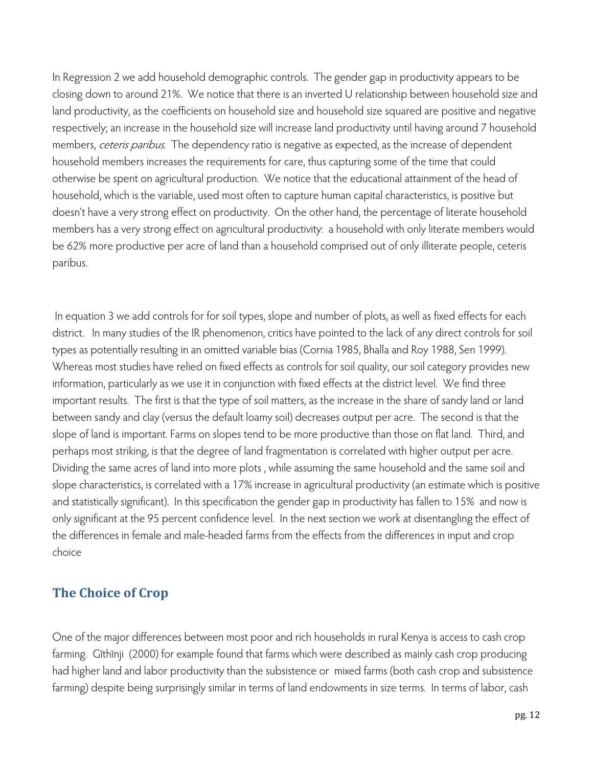In Regression 2 we add household demographic controls. The gender gap in productivity appears to be closing down to around 21%. We notice that there is an inverted U relationship between household size and land productivity, as the coefficients on household size and household size squared are positive and negative respectively; an increase in the household size will increase land productivity until having around 7 household members, ceteris paribus. The dependency ratio is negative as expected, as the increase of dependent household members increases the requirements for care, thus capturing some of the time that could otherwise be spent on agricultural production. We notice that the educational attainment of the head of household, which is the variable, used most often to capture human capital characteristics, is positive but doesn't have a very strong effect on productivity. On the other hand, the percentage of literate household members has a very strong effect on agricultural productivity: a household with only literate members would be 62% more productive per acre of land than a household comprised out of only illiterate people, ceteris paribus.

 In equation 3 we add controls for for soil types, slope and number of plots, as well as fixed effects for each district. In many studies of the IR phenomenon, critics have pointed to the lack of any direct controls for soil types as potentially resulting in an omitted variable bias (Cornia 1985, Bhalla and Roy 1988, Sen 1999). Whereas most studies have relied on fixed effects as controls for soil quality, our soil category provides new information, particularly as we use it in conjunction with fixed effects at the district level. We find three important results. The first is that the type of soil matters, as the increase in the share of sandy land or land between sandy and clay (versus the default loamy soil) decreases output per acre. The second is that the slope of land is important. Farms on slopes tend to be more productive than those on flat land. Third, and perhaps most striking, is that the degree of land fragmentation is correlated with higher output per acre. Dividing the same acres of land into more plots , while assuming the same household and the same soil and slope characteristics, is correlated with a 17% increase in agricultural productivity (an estimate which is positive and statistically significant). In this specification the gender gap in productivity has fallen to 15% and now is only significant at the 95 percent confidence level. In the next section we work at disentangling the effect of the differences in female and male-headed farms from the effects from the differences in input and crop choice

#### **The Choice of Crop**

One of the major differences between most poor and rich households in rural Kenya is access to cash crop farming. Gĩthĩnji (2000) for example found that farms which were described as mainly cash crop producing had higher land and labor productivity than the subsistence or mixed farms (both cash crop and subsistence farming) despite being surprisingly similar in terms of land endowments in size terms. In terms of labor, cash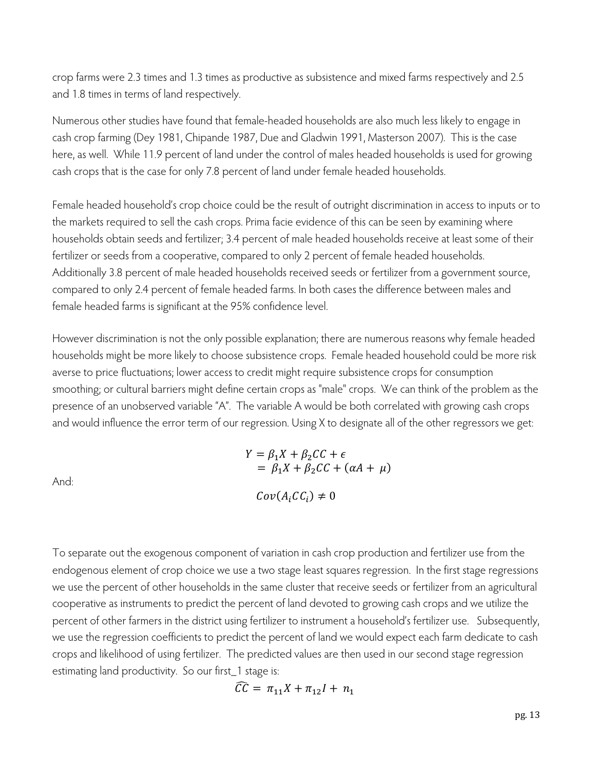crop farms were 2.3 times and 1.3 times as productive as subsistence and mixed farms respectively and 2.5 and 1.8 times in terms of land respectively.

Numerous other studies have found that female-headed households are also much less likely to engage in cash crop farming (Dey 1981, Chipande 1987, Due and Gladwin 1991, Masterson 2007). This is the case here, as well. While 11.9 percent of land under the control of males headed households is used for growing cash crops that is the case for only 7.8 percent of land under female headed households.

Female headed household's crop choice could be the result of outright discrimination in access to inputs or to the markets required to sell the cash crops. Prima facie evidence of this can be seen by examining where households obtain seeds and fertilizer; 3.4 percent of male headed households receive at least some of their fertilizer or seeds from a cooperative, compared to only 2 percent of female headed households. Additionally 3.8 percent of male headed households received seeds or fertilizer from a government source, compared to only 2.4 percent of female headed farms. In both cases the difference between males and female headed farms is significant at the 95% confidence level.

However discrimination is not the only possible explanation; there are numerous reasons why female headed households might be more likely to choose subsistence crops. Female headed household could be more risk averse to price fluctuations; lower access to credit might require subsistence crops for consumption smoothing; or cultural barriers might define certain crops as "male" crops. We can think of the problem as the presence of an unobserved variable "A". The variable A would be both correlated with growing cash crops and would influence the error term of our regression. Using X to designate all of the other regressors we get:

And:

$$
Y = \beta_1 X + \beta_2 CC + \epsilon
$$
  
=  $\beta_1 X + \beta_2 CC + (\alpha A + \mu)$   

$$
Cov(A_i CC_i) \neq 0
$$

To separate out the exogenous component of variation in cash crop production and fertilizer use from the endogenous element of crop choice we use a two stage least squares regression. In the first stage regressions we use the percent of other households in the same cluster that receive seeds or fertilizer from an agricultural cooperative as instruments to predict the percent of land devoted to growing cash crops and we utilize the percent of other farmers in the district using fertilizer to instrument a household's fertilizer use. Subsequently, we use the regression coefficients to predict the percent of land we would expect each farm dedicate to cash crops and likelihood of using fertilizer. The predicted values are then used in our second stage regression estimating land productivity. So our first\_1 stage is:

$$
\widehat{CC} = \pi_{11}X + \pi_{12}I + n_1
$$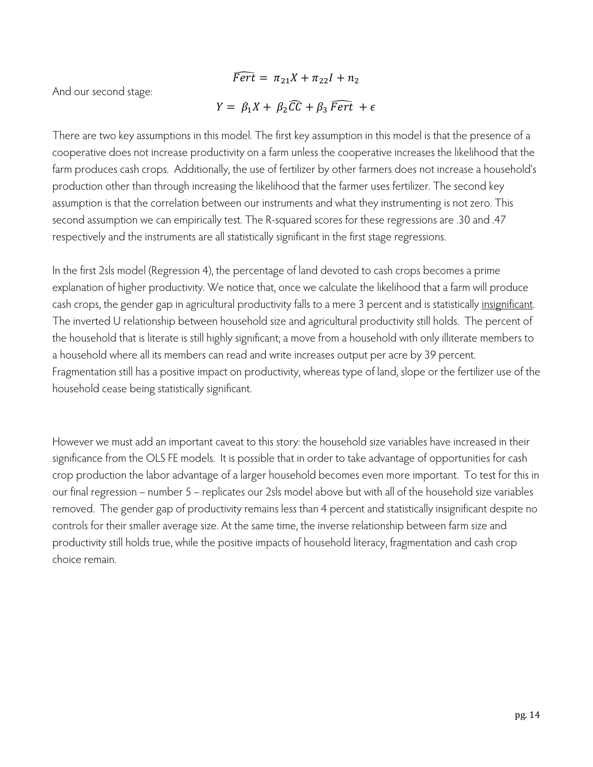$\widehat{Fert} = \pi_{21}X + \pi_{22}I + n_2$ 

And our second stage:

$$
Y = \beta_1 X + \beta_2 \widehat{CC} + \beta_3 \widehat{Fert} + \epsilon
$$

There are two key assumptions in this model. The first key assumption in this model is that the presence of a cooperative does not increase productivity on a farm unless the cooperative increases the likelihood that the farm produces cash crops. Additionally, the use of fertilizer by other farmers does not increase a household's production other than through increasing the likelihood that the farmer uses fertilizer. The second key assumption is that the correlation between our instruments and what they instrumenting is not zero. This second assumption we can empirically test. The R-squared scores for these regressions are .30 and .47 respectively and the instruments are all statistically significant in the first stage regressions.

In the first 2sls model (Regression 4), the percentage of land devoted to cash crops becomes a prime explanation of higher productivity. We notice that, once we calculate the likelihood that a farm will produce cash crops, the gender gap in agricultural productivity falls to a mere 3 percent and is statistically insignificant. The inverted U relationship between household size and agricultural productivity still holds. The percent of the household that is literate is still highly significant; a move from a household with only illiterate members to a household where all its members can read and write increases output per acre by 39 percent. Fragmentation still has a positive impact on productivity, whereas type of land, slope or the fertilizer use of the household cease being statistically significant.

However we must add an important caveat to this story: the household size variables have increased in their significance from the OLS FE models. It is possible that in order to take advantage of opportunities for cash crop production the labor advantage of a larger household becomes even more important. To test for this in our final regression – number 5 – replicates our 2sls model above but with all of the household size variables removed. The gender gap of productivity remains less than 4 percent and statistically insignificant despite no controls for their smaller average size. At the same time, the inverse relationship between farm size and productivity still holds true, while the positive impacts of household literacy, fragmentation and cash crop choice remain.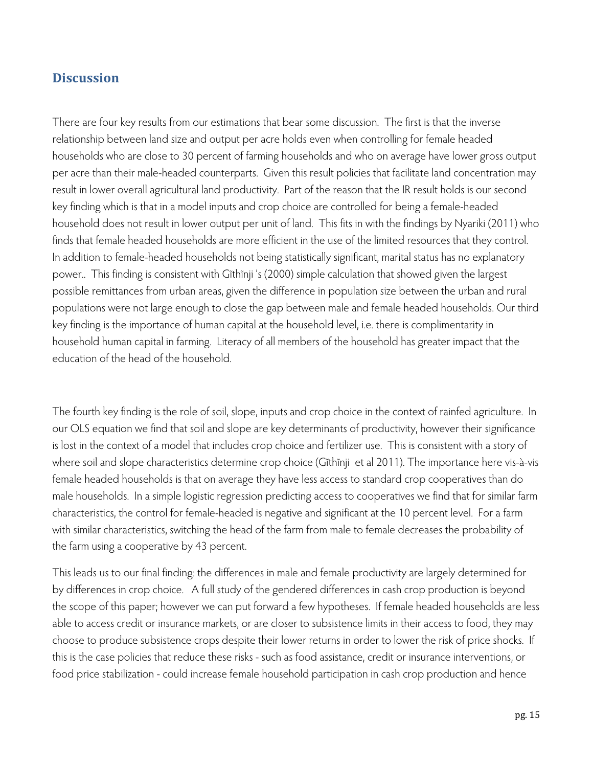#### **Discussion**

There are four key results from our estimations that bear some discussion. The first is that the inverse relationship between land size and output per acre holds even when controlling for female headed households who are close to 30 percent of farming households and who on average have lower gross output per acre than their male-headed counterparts. Given this result policies that facilitate land concentration may result in lower overall agricultural land productivity. Part of the reason that the IR result holds is our second key finding which is that in a model inputs and crop choice are controlled for being a female-headed household does not result in lower output per unit of land. This fits in with the findings by Nyariki (2011) who finds that female headed households are more efficient in the use of the limited resources that they control. In addition to female-headed households not being statistically significant, marital status has no explanatory power.. This finding is consistent with Gĩthĩnji 's (2000) simple calculation that showed given the largest possible remittances from urban areas, given the difference in population size between the urban and rural populations were not large enough to close the gap between male and female headed households. Our third key finding is the importance of human capital at the household level, i.e. there is complimentarity in household human capital in farming. Literacy of all members of the household has greater impact that the education of the head of the household.

The fourth key finding is the role of soil, slope, inputs and crop choice in the context of rainfed agriculture. In our OLS equation we find that soil and slope are key determinants of productivity, however their significance is lost in the context of a model that includes crop choice and fertilizer use. This is consistent with a story of where soil and slope characteristics determine crop choice (Gĩthĩnji et al 2011). The importance here vis-à-vis female headed households is that on average they have less access to standard crop cooperatives than do male households. In a simple logistic regression predicting access to cooperatives we find that for similar farm characteristics, the control for female-headed is negative and significant at the 10 percent level. For a farm with similar characteristics, switching the head of the farm from male to female decreases the probability of the farm using a cooperative by 43 percent.

This leads us to our final finding: the differences in male and female productivity are largely determined for by differences in crop choice. A full study of the gendered differences in cash crop production is beyond the scope of this paper; however we can put forward a few hypotheses. If female headed households are less able to access credit or insurance markets, or are closer to subsistence limits in their access to food, they may choose to produce subsistence crops despite their lower returns in order to lower the risk of price shocks. If this is the case policies that reduce these risks - such as food assistance, credit or insurance interventions, or food price stabilization - could increase female household participation in cash crop production and hence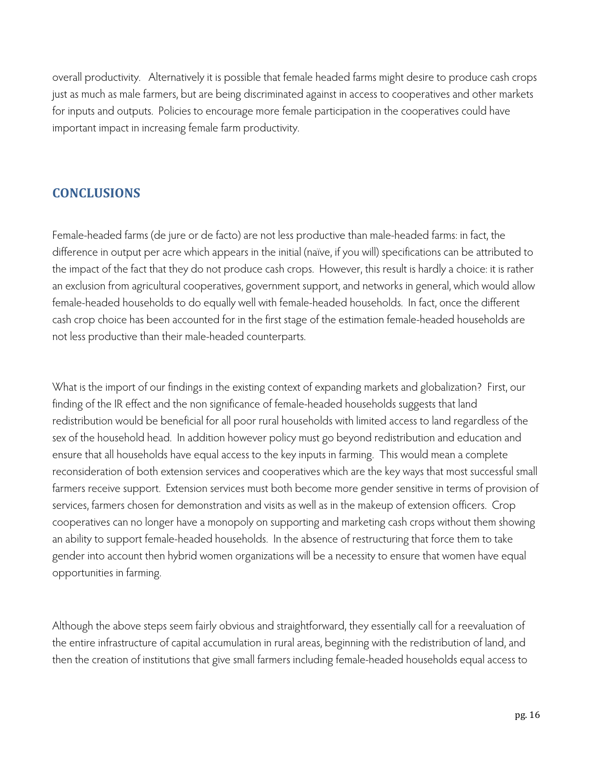overall productivity. Alternatively it is possible that female headed farms might desire to produce cash crops just as much as male farmers, but are being discriminated against in access to cooperatives and other markets for inputs and outputs. Policies to encourage more female participation in the cooperatives could have important impact in increasing female farm productivity.

#### **CONCLUSIONS**

Female-headed farms (de jure or de facto) are not less productive than male-headed farms: in fact, the difference in output per acre which appears in the initial (naïve, if you will) specifications can be attributed to the impact of the fact that they do not produce cash crops. However, this result is hardly a choice: it is rather an exclusion from agricultural cooperatives, government support, and networks in general, which would allow female-headed households to do equally well with female-headed households. In fact, once the different cash crop choice has been accounted for in the first stage of the estimation female-headed households are not less productive than their male-headed counterparts.

What is the import of our findings in the existing context of expanding markets and globalization? First, our finding of the IR effect and the non significance of female-headed households suggests that land redistribution would be beneficial for all poor rural households with limited access to land regardless of the sex of the household head. In addition however policy must go beyond redistribution and education and ensure that all households have equal access to the key inputs in farming. This would mean a complete reconsideration of both extension services and cooperatives which are the key ways that most successful small farmers receive support. Extension services must both become more gender sensitive in terms of provision of services, farmers chosen for demonstration and visits as well as in the makeup of extension officers. Crop cooperatives can no longer have a monopoly on supporting and marketing cash crops without them showing an ability to support female-headed households. In the absence of restructuring that force them to take gender into account then hybrid women organizations will be a necessity to ensure that women have equal opportunities in farming.

Although the above steps seem fairly obvious and straightforward, they essentially call for a reevaluation of the entire infrastructure of capital accumulation in rural areas, beginning with the redistribution of land, and then the creation of institutions that give small farmers including female-headed households equal access to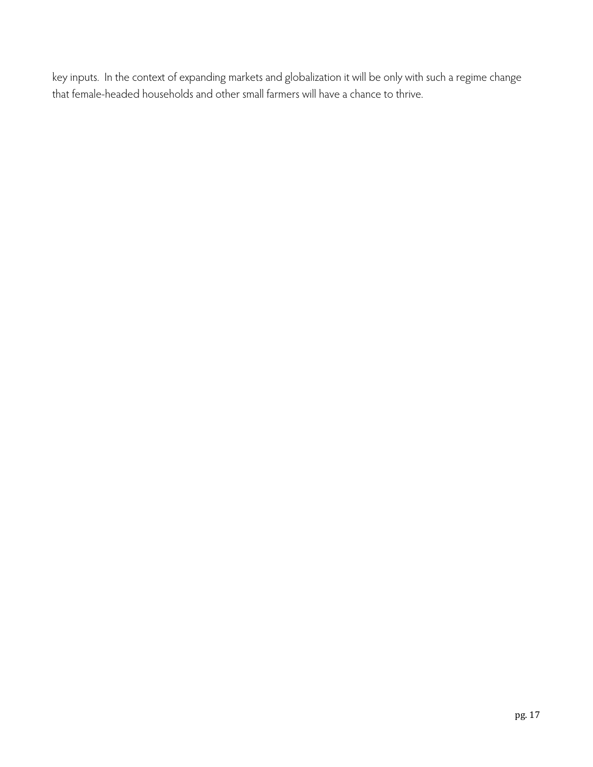key inputs. In the context of expanding markets and globalization it will be only with such a regime change that female-headed households and other small farmers will have a chance to thrive.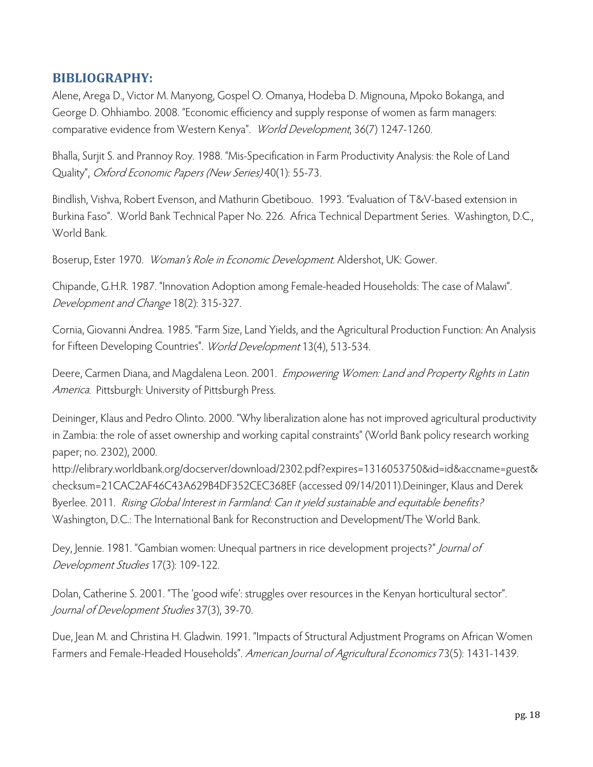#### **BIBLIOGRAPHY:**

Alene, Arega D., Victor M. Manyong, Gospel O. Omanya, Hodeba D. Mignouna, Mpoko Bokanga, and George D. Ohhiambo. 2008. "Economic efficiency and supply response of women as farm managers: comparative evidence from Western Kenya". World Development, 36(7) 1247-1260.

Bhalla, Surjit S. and Prannoy Roy. 1988. "Mis-Specification in Farm Productivity Analysis: the Role of Land Quality", Oxford Economic Papers (New Series) 40(1): 55-73.

Bindlish, Vishva, Robert Evenson, and Mathurin Gbetibouo. 1993. "Evaluation of T&V-based extension in Burkina Faso". World Bank Technical Paper No. 226. Africa Technical Department Series. Washington, D.C., World Bank.

Boserup, Ester 1970. Woman's Role in Economic Development. Aldershot, UK: Gower.

Chipande, G.H.R. 1987. "Innovation Adoption among Female-headed Households: The case of Malawi". Development and Change 18(2): 315-327.

Cornia, Giovanni Andrea. 1985. "Farm Size, Land Yields, and the Agricultural Production Function: An Analysis for Fifteen Developing Countries". World Development 13(4), 513-534.

Deere, Carmen Diana, and Magdalena Leon. 2001. Empowering Women: Land and Property Rights in Latin America. Pittsburgh: University of Pittsburgh Press.

Deininger, Klaus and Pedro Olinto. 2000. "Why liberalization alone has not improved agricultural productivity in Zambia: the role of asset ownership and working capital constraints" (World Bank policy research working paper; no. 2302), 2000.

http://elibrary.worldbank.org/docserver/download/2302.pdf?expires=1316053750&id=id&accname=guest& checksum=21CAC2AF46C43A629B4DF352CEC368EF (accessed 09/14/2011).Deininger, Klaus and Derek Byerlee. 2011. Rising Global Interest in Farmland: Can it yield sustainable and equitable benefits? Washington, D.C.: The International Bank for Reconstruction and Development/The World Bank.

Dey, Jennie. 1981. "Gambian women: Unequal partners in rice development projects?" *Journal of* Development Studies 17(3): 109-122.

Dolan, Catherine S. 2001. "The 'good wife': struggles over resources in the Kenyan horticultural sector". Journal of Development Studies 37(3), 39-70.

Due, Jean M. and Christina H. Gladwin. 1991. "Impacts of Structural Adjustment Programs on African Women Farmers and Female-Headed Households". American Journal of Agricultural Economics 73(5): 1431-1439.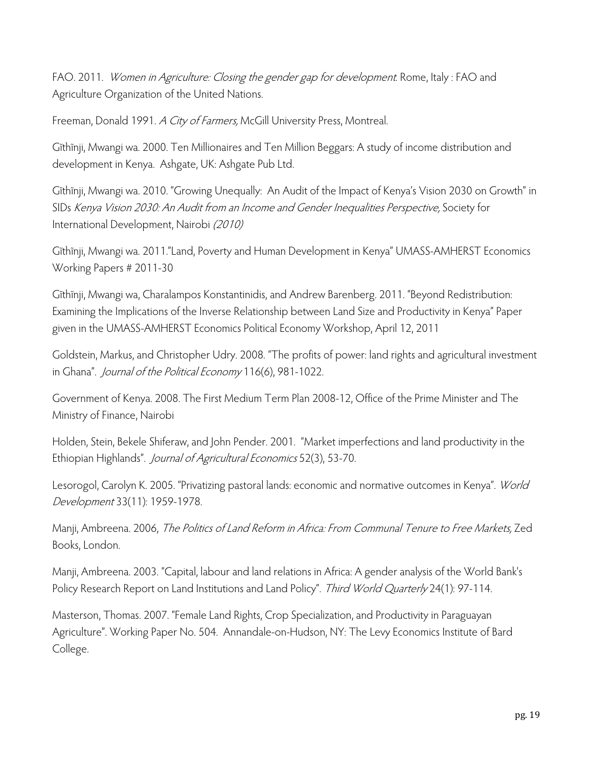FAO. 2011. Women in Agriculture: Closing the gender gap for development. Rome, Italy : FAO and Agriculture Organization of the United Nations.

Freeman, Donald 1991. A City of Farmers, McGill University Press, Montreal.

Gĩthĩnji, Mwangi wa. 2000. Ten Millionaires and Ten Million Beggars: A study of income distribution and development in Kenya. Ashgate, UK: Ashgate Pub Ltd.

Gĩthĩnji, Mwangi wa. 2010. "Growing Unequally: An Audit of the Impact of Kenya's Vision 2030 on Growth" in SIDs Kenya Vision 2030: An Audit from an Income and Gender Inequalities Perspective, Society for International Development, Nairobi (2010)

Gĩthĩnji, Mwangi wa. 2011."Land, Poverty and Human Development in Kenya" UMASS-AMHERST Economics Working Papers # 2011-30

Gĩthĩnji, Mwangi wa, Charalampos Konstantinidis, and Andrew Barenberg. 2011. "Beyond Redistribution: Examining the Implications of the Inverse Relationship between Land Size and Productivity in Kenya" Paper given in the UMASS-AMHERST Economics Political Economy Workshop, April 12, 2011

Goldstein, Markus, and Christopher Udry. 2008. "The profits of power: land rights and agricultural investment in Ghana". Journal of the Political Economy 116(6), 981-1022.

Government of Kenya. 2008. The First Medium Term Plan 2008-12, Office of the Prime Minister and The Ministry of Finance, Nairobi

Holden, Stein, Bekele Shiferaw, and John Pender. 2001. "Market imperfections and land productivity in the Ethiopian Highlands". Journal of Agricultural Economics 52(3), 53-70.

Lesorogol, Carolyn K. 2005. "Privatizing pastoral lands: economic and normative outcomes in Kenya". World Development 33(11): 1959-1978.

Manji, Ambreena. 2006, The Politics of Land Reform in Africa: From Communal Tenure to Free Markets, Zed Books, London.

Manji, Ambreena. 2003. "Capital, labour and land relations in Africa: A gender analysis of the World Bank's Policy Research Report on Land Institutions and Land Policy". Third World Quarterly 24(1): 97-114.

Masterson, Thomas. 2007. "Female Land Rights, Crop Specialization, and Productivity in Paraguayan Agriculture". Working Paper No. 504. Annandale-on-Hudson, NY: The Levy Economics Institute of Bard College.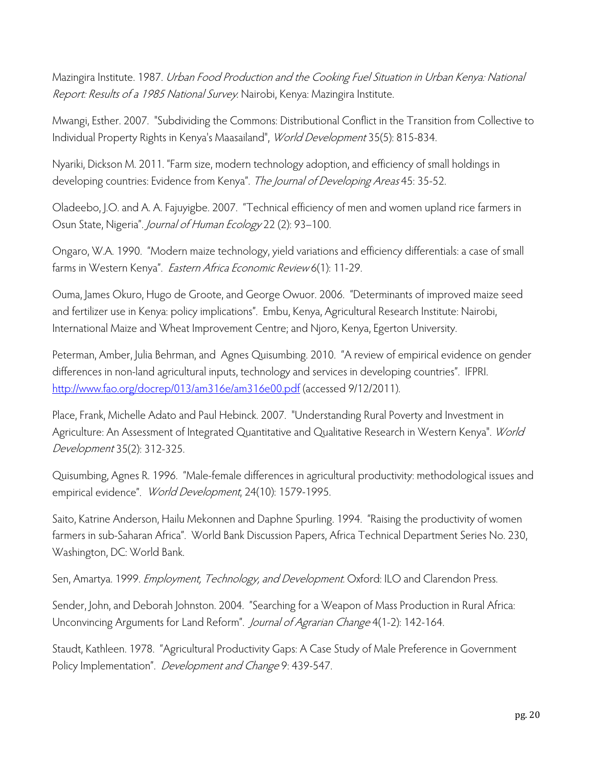Mazingira Institute. 1987. Urban Food Production and the Cooking Fuel Situation in Urban Kenya: National Report: Results of a 1985 National Survey. Nairobi, Kenya: Mazingira Institute.

Mwangi, Esther. 2007. "Subdividing the Commons: Distributional Conflict in the Transition from Collective to Individual Property Rights in Kenya's Maasailand", World Development 35(5): 815-834.

Nyariki, Dickson M. 2011. "Farm size, modern technology adoption, and efficiency of small holdings in developing countries: Evidence from Kenya". The Journal of Developing Areas 45: 35-52.

Oladeebo, J.O. and A. A. Fajuyigbe. 2007. "Technical efficiency of men and women upland rice farmers in Osun State, Nigeria". Journal of Human Ecology 22 (2): 93-100.

Ongaro, W.A. 1990. "Modern maize technology, yield variations and efficiency differentials: a case of small farms in Western Kenya". Eastern Africa Economic Review 6(1): 11-29.

Ouma, James Okuro, Hugo de Groote, and George Owuor. 2006. "Determinants of improved maize seed and fertilizer use in Kenya: policy implications". Embu, Kenya, Agricultural Research Institute: Nairobi, International Maize and Wheat Improvement Centre; and Njoro, Kenya, Egerton University.

Peterman, Amber, Julia Behrman, and Agnes Quisumbing. 2010. "A review of empirical evidence on gender differences in non-land agricultural inputs, technology and services in developing countries". IFPRI. http://www.fao.org/docrep/013/am316e/am316e00.pdf (accessed 9/12/2011).

Place, Frank, Michelle Adato and Paul Hebinck. 2007. "Understanding Rural Poverty and Investment in Agriculture: An Assessment of Integrated Quantitative and Qualitative Research in Western Kenya". World Development 35(2): 312-325.

Quisumbing, Agnes R. 1996. "Male-female differences in agricultural productivity: methodological issues and empirical evidence". World Development, 24(10): 1579-1995.

Saito, Katrine Anderson, Hailu Mekonnen and Daphne Spurling. 1994. "Raising the productivity of women farmers in sub-Saharan Africa". World Bank Discussion Papers, Africa Technical Department Series No. 230, Washington, DC: World Bank.

Sen, Amartya. 1999. Employment, Technology, and Development. Oxford: ILO and Clarendon Press.

Sender, John, and Deborah Johnston. 2004. "Searching for a Weapon of Mass Production in Rural Africa: Unconvincing Arguments for Land Reform". Journal of Agrarian Change 4(1-2): 142-164.

Staudt, Kathleen. 1978. "Agricultural Productivity Gaps: A Case Study of Male Preference in Government Policy Implementation". Development and Change 9: 439-547.